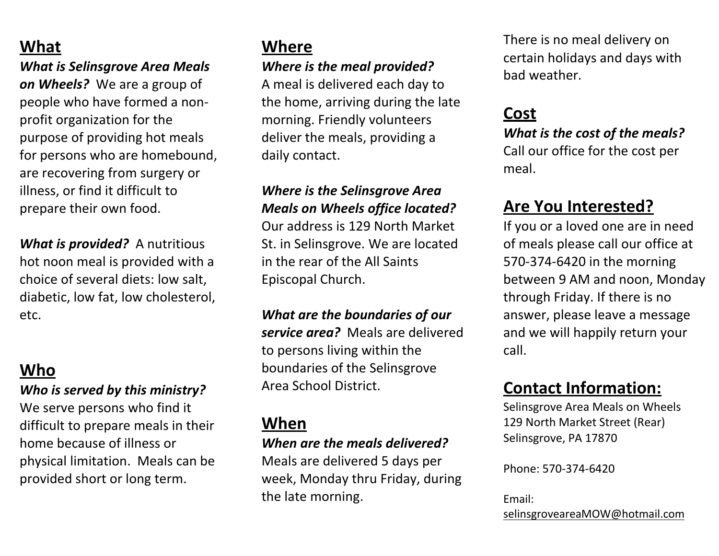# **What**

*What is Selinsgrove Area Meals on Wheels?* We are a group of people who have formed a nonprofit organization for the purpose of providing hot meals for persons who are homebound, are recovering from surgery or illness, or find it difficult to prepare their own food.

*What is provided?* A nutritious hot noon meal is provided with a choice of several diets: low salt, diabetic, low fat, low cholesterol, etc.

# **Who**

#### *Who is served by this ministry?*

We serve persons who find it difficult to prepare meals in their home because of illness or physical limitation. Meals can be provided short or long term.

# **Where**

#### *Where is the meal provided?*

A meal is delivered each day to the home, arriving during the late morning. Friendly volunteers deliver the meals, providing a daily contact.

#### *Where is the Selinsgrove Area Meals on Wheels office located?*

Our address is 129 North Market St. in Selinsgrove. We are located in the rear of the All Saints Episcopal Church.

*What are the boundaries of our service area?* Meals are delivered to persons living within the boundaries of the Selinsgrove Area School District.

### **When**

#### *When are the meals delivered?*

Meals are delivered 5 days per week, Monday thru Friday, during the late morning.

There is no meal delivery on certain holidays and days with bad weather.

# **Cost**

*What is the cost of the meals?* Call our office for the cost per meal.

# **Are You Interested?**

If you or a loved one are in need of meals please call our office at 570-374-6420 in the morning between 9 AM and noon, Monday through Friday. If there is no answer, please leave a message and we will happily return your call.

# **Contact Information:**

Selinsgrove Area Meals on Wheels 129 North Market Street (Rear) Selinsgrove, PA 17870

Phone: 570-374-6420

Email: selinsgroveareaMOW@hotmail.com